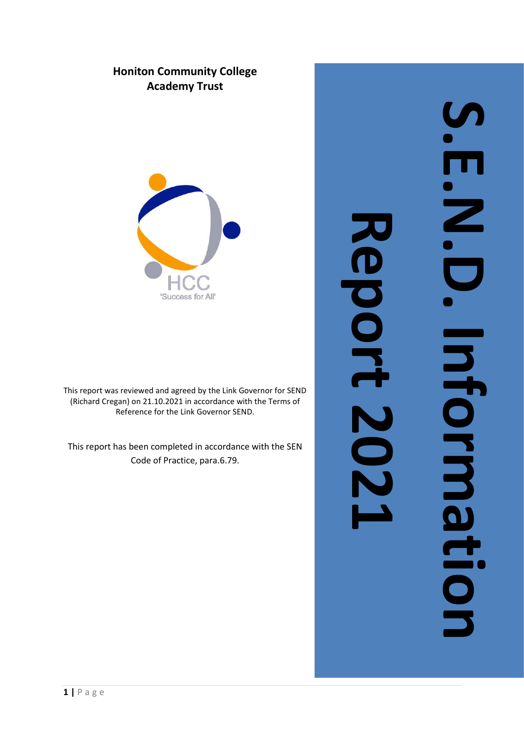# **Honiton Community College Academy Trust**



This report was reviewed and agreed by the Link Governor for SEND (Richard Cregan) on 21.10.2021 in accordance with the Terms of Reference for the Link Governor SEND.

This report has been completed in accordance with the SEN Code of Practice, para.6.79.

**S.E.N.D. Information**  J П i<br>Z<br>O Information

**Report 20**

**2**

**1**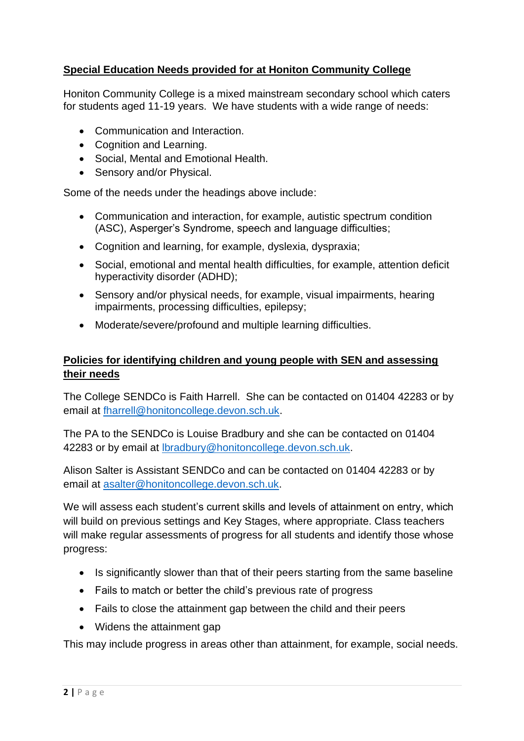# **Special Education Needs provided for at Honiton Community College**

Honiton Community College is a mixed mainstream secondary school which caters for students aged 11-19 years. We have students with a wide range of needs:

- Communication and Interaction.
- Cognition and Learning.
- Social, Mental and Emotional Health.
- Sensory and/or Physical.

Some of the needs under the headings above include:

- Communication and interaction, for example, autistic spectrum condition (ASC), Asperger's Syndrome, speech and language difficulties;
- Cognition and learning, for example, dyslexia, dyspraxia;
- Social, emotional and mental health difficulties, for example, attention deficit hyperactivity disorder (ADHD);
- Sensory and/or physical needs, for example, visual impairments, hearing impairments, processing difficulties, epilepsy;
- Moderate/severe/profound and multiple learning difficulties.

# **Policies for identifying children and young people with SEN and assessing their needs**

The College SENDCo is Faith Harrell. She can be contacted on 01404 42283 or by email at [fharrell@honitoncollege.devon.sch.uk.](mailto:fharrell@honitoncollege.devon.sch.uk)

The PA to the SENDCo is Louise Bradbury and she can be contacted on 01404 42283 or by email at [lbradbury@honitoncollege.devon.sch.uk.](mailto:lbradbury@honitoncollege.devon.sch.uk)

Alison Salter is Assistant SENDCo and can be contacted on 01404 42283 or by email at [asalter@honitoncollege.devon.sch.uk.](mailto:asalter@honitoncollege.devon.sch.uk)

We will assess each student's current skills and levels of attainment on entry, which will build on previous settings and Key Stages, where appropriate. Class teachers will make regular assessments of progress for all students and identify those whose progress:

- Is significantly slower than that of their peers starting from the same baseline
- Fails to match or better the child's previous rate of progress
- Fails to close the attainment gap between the child and their peers
- Widens the attainment gap

This may include progress in areas other than attainment, for example, social needs.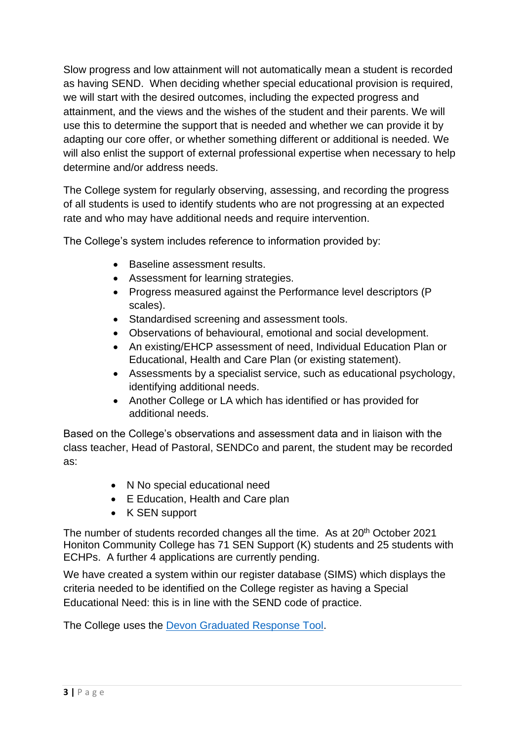Slow progress and low attainment will not automatically mean a student is recorded as having SEND. When deciding whether special educational provision is required, we will start with the desired outcomes, including the expected progress and attainment, and the views and the wishes of the student and their parents. We will use this to determine the support that is needed and whether we can provide it by adapting our core offer, or whether something different or additional is needed. We will also enlist the support of external professional expertise when necessary to help determine and/or address needs.

The College system for regularly observing, assessing, and recording the progress of all students is used to identify students who are not progressing at an expected rate and who may have additional needs and require intervention.

The College's system includes reference to information provided by:

- Baseline assessment results.
- Assessment for learning strategies.
- Progress measured against the Performance level descriptors (P scales).
- Standardised screening and assessment tools.
- Observations of behavioural, emotional and social development.
- An existing/EHCP assessment of need, Individual Education Plan or Educational, Health and Care Plan (or existing statement).
- Assessments by a specialist service, such as educational psychology, identifying additional needs.
- Another College or LA which has identified or has provided for additional needs.

Based on the College's observations and assessment data and in liaison with the class teacher, Head of Pastoral, SENDCo and parent, the student may be recorded as:

- N No special educational need
- E Education, Health and Care plan
- K SEN support

The number of students recorded changes all the time. As at 20<sup>th</sup> October 2021 Honiton Community College has 71 SEN Support (K) students and 25 students with ECHPs. A further 4 applications are currently pending.

We have created a system within our register database (SIMS) which displays the criteria needed to be identified on the College register as having a Special Educational Need: this is in line with the SEND code of practice.

The College uses the [Devon Graduated Response Tool.](https://www.babcockldp.co.uk/disadvantaged-vulnerable-learners/send/devon-graduated-response)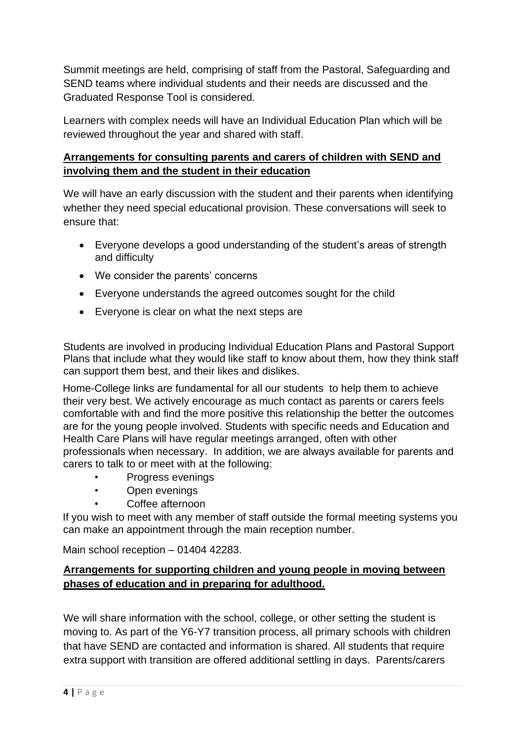Summit meetings are held, comprising of staff from the Pastoral, Safeguarding and SEND teams where individual students and their needs are discussed and the Graduated Response Tool is considered.

Learners with complex needs will have an Individual Education Plan which will be reviewed throughout the year and shared with staff.

# **Arrangements for consulting parents and carers of children with SEND and involving them and the student in their education**

We will have an early discussion with the student and their parents when identifying whether they need special educational provision. These conversations will seek to ensure that:

- Everyone develops a good understanding of the student's areas of strength and difficulty
- We consider the parents' concerns
- Everyone understands the agreed outcomes sought for the child
- Everyone is clear on what the next steps are

Students are involved in producing Individual Education Plans and Pastoral Support Plans that include what they would like staff to know about them, how they think staff can support them best, and their likes and dislikes.

Home-College links are fundamental for all our students to help them to achieve their very best. We actively encourage as much contact as parents or carers feels comfortable with and find the more positive this relationship the better the outcomes are for the young people involved. Students with specific needs and Education and Health Care Plans will have regular meetings arranged, often with other professionals when necessary. In addition, we are always available for parents and carers to talk to or meet with at the following:

- Progress evenings
- Open evenings
- Coffee afternoon

If you wish to meet with any member of staff outside the formal meeting systems you can make an appointment through the main reception number.

Main school reception – 01404 42283.

# **Arrangements for supporting children and young people in moving between phases of education and in preparing for adulthood.**

We will share information with the school, college, or other setting the student is moving to. As part of the Y6-Y7 transition process, all primary schools with children that have SEND are contacted and information is shared. All students that require extra support with transition are offered additional settling in days. Parents/carers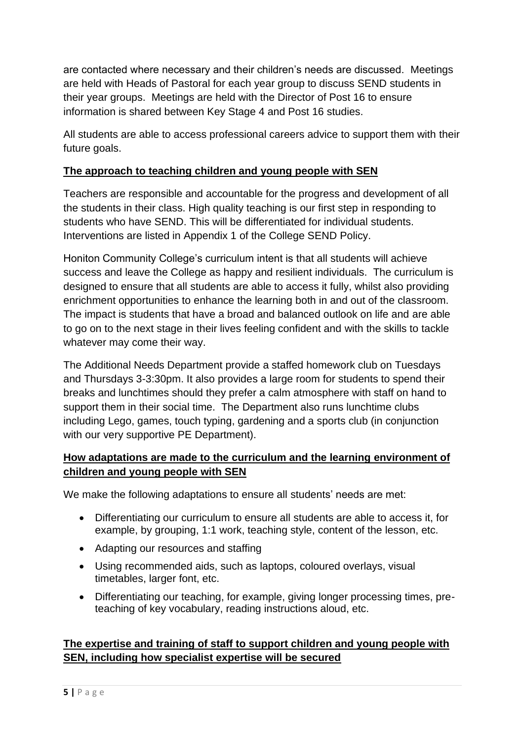are contacted where necessary and their children's needs are discussed. Meetings are held with Heads of Pastoral for each year group to discuss SEND students in their year groups. Meetings are held with the Director of Post 16 to ensure information is shared between Key Stage 4 and Post 16 studies.

All students are able to access professional careers advice to support them with their future goals.

# **The approach to teaching children and young people with SEN**

Teachers are responsible and accountable for the progress and development of all the students in their class. High quality teaching is our first step in responding to students who have SEND. This will be differentiated for individual students. Interventions are listed in Appendix 1 of the College SEND Policy.

Honiton Community College's curriculum intent is that all students will achieve success and leave the College as happy and resilient individuals. The curriculum is designed to ensure that all students are able to access it fully, whilst also providing enrichment opportunities to enhance the learning both in and out of the classroom. The impact is students that have a broad and balanced outlook on life and are able to go on to the next stage in their lives feeling confident and with the skills to tackle whatever may come their way.

The Additional Needs Department provide a staffed homework club on Tuesdays and Thursdays 3-3:30pm. It also provides a large room for students to spend their breaks and lunchtimes should they prefer a calm atmosphere with staff on hand to support them in their social time. The Department also runs lunchtime clubs including Lego, games, touch typing, gardening and a sports club (in conjunction with our very supportive PE Department).

# **How adaptations are made to the curriculum and the learning environment of children and young people with SEN**

We make the following adaptations to ensure all students' needs are met:

- Differentiating our curriculum to ensure all students are able to access it, for example, by grouping, 1:1 work, teaching style, content of the lesson, etc.
- Adapting our resources and staffing
- Using recommended aids, such as laptops, coloured overlays, visual timetables, larger font, etc.
- Differentiating our teaching, for example, giving longer processing times, preteaching of key vocabulary, reading instructions aloud, etc.

#### **The expertise and training of staff to support children and young people with SEN, including how specialist expertise will be secured**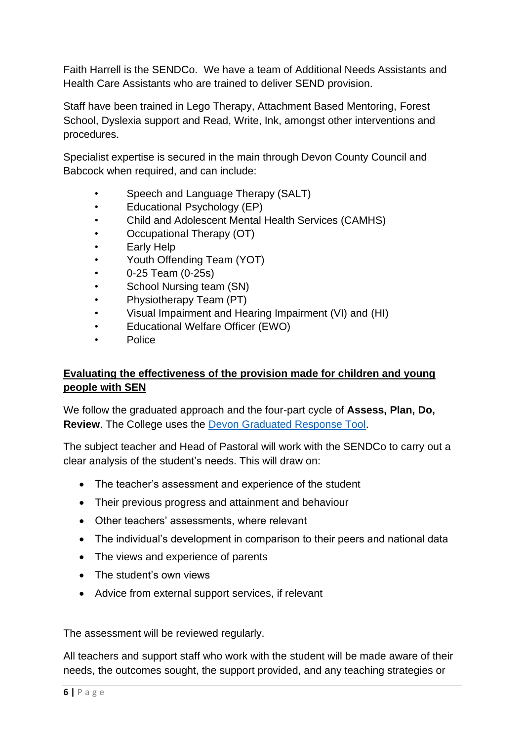Faith Harrell is the SENDCo. We have a team of Additional Needs Assistants and Health Care Assistants who are trained to deliver SEND provision.

Staff have been trained in Lego Therapy, Attachment Based Mentoring, Forest School, Dyslexia support and Read, Write, Ink, amongst other interventions and procedures.

Specialist expertise is secured in the main through Devon County Council and Babcock when required, and can include:

- Speech and Language Therapy (SALT)
- Educational Psychology (EP)
- Child and Adolescent Mental Health Services (CAMHS)
- Occupational Therapy (OT)
- Early Help
- Youth Offending Team (YOT)
- 0-25 Team (0-25s)
- School Nursing team (SN)
- Physiotherapy Team (PT)
- Visual Impairment and Hearing Impairment (VI) and (HI)
- Educational Welfare Officer (EWO)
- Police

# **Evaluating the effectiveness of the provision made for children and young people with SEN**

We follow the graduated approach and the four-part cycle of **Assess, Plan, Do, Review**. The College uses the [Devon Graduated Response Tool.](https://www.babcockldp.co.uk/disadvantaged-vulnerable-learners/send/devon-graduated-response)

The subject teacher and Head of Pastoral will work with the SENDCo to carry out a clear analysis of the student's needs. This will draw on:

- The teacher's assessment and experience of the student
- Their previous progress and attainment and behaviour
- Other teachers' assessments, where relevant
- The individual's development in comparison to their peers and national data
- The views and experience of parents
- The student's own views
- Advice from external support services, if relevant

The assessment will be reviewed regularly.

All teachers and support staff who work with the student will be made aware of their needs, the outcomes sought, the support provided, and any teaching strategies or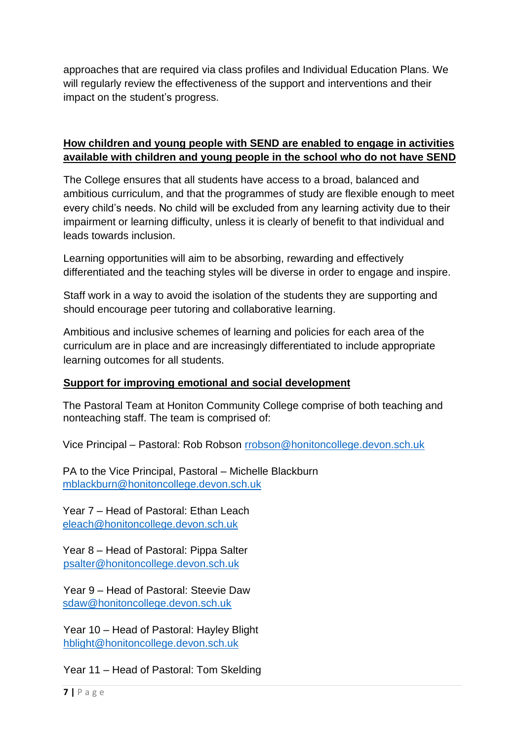approaches that are required via class profiles and Individual Education Plans. We will regularly review the effectiveness of the support and interventions and their impact on the student's progress.

# **How children and young people with SEND are enabled to engage in activities available with children and young people in the school who do not have SEND**

The College ensures that all students have access to a broad, balanced and ambitious curriculum, and that the programmes of study are flexible enough to meet every child's needs. No child will be excluded from any learning activity due to their impairment or learning difficulty, unless it is clearly of benefit to that individual and leads towards inclusion.

Learning opportunities will aim to be absorbing, rewarding and effectively differentiated and the teaching styles will be diverse in order to engage and inspire.

Staff work in a way to avoid the isolation of the students they are supporting and should encourage peer tutoring and collaborative learning.

Ambitious and inclusive schemes of learning and policies for each area of the curriculum are in place and are increasingly differentiated to include appropriate learning outcomes for all students.

# **Support for improving emotional and social development**

The Pastoral Team at Honiton Community College comprise of both teaching and nonteaching staff. The team is comprised of:

Vice Principal – Pastoral: Rob Robson [rrobson@honitoncollege.devon.sch.uk](mailto:rrobson@honitoncollege.devon.sch.uk)

PA to the Vice Principal, Pastoral – Michelle Blackburn [mblackburn@honitoncollege.devon.sch.uk](mailto:mblackburn@honitoncollege.devon.sch.uk)

Year 7 – Head of Pastoral: Ethan Leach [eleach@honitoncollege.devon.sch.uk](mailto:eleach@honitoncollege.devon.sch.uk)

Year 8 – Head of Pastoral: Pippa Salter [psalter@honitoncollege.devon.sch.uk](mailto:psalter@honitoncollege.devon.sch.uk)

Year 9 – Head of Pastoral: Steevie Daw [sdaw@honitoncollege.devon.sch.uk](mailto:sdaw@honitoncollege.devon.sch.uk)

Year 10 – Head of Pastoral: Hayley Blight [hblight@honitoncollege.devon.sch.uk](mailto:hblight@honitoncollege.devon.sch.uk)

Year 11 – Head of Pastoral: Tom Skelding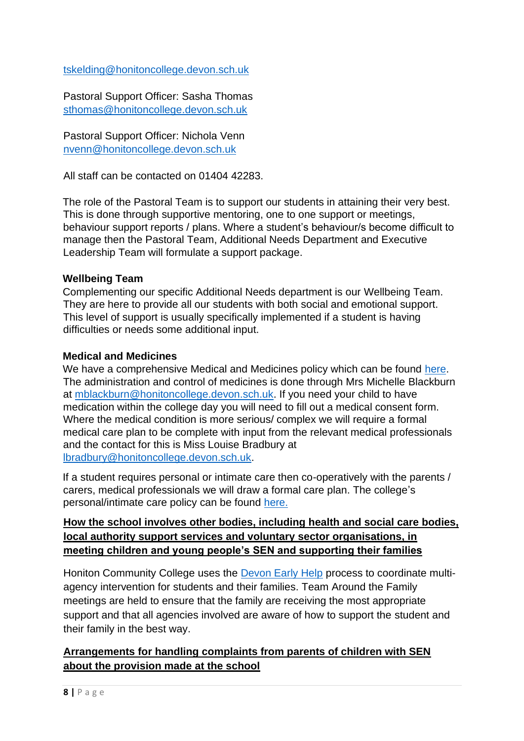[tskelding@honitoncollege.devon.sch.uk](mailto:tskelding@honitoncollege.devon.sch.uk)

Pastoral Support Officer: Sasha Thomas [sthomas@honitoncollege.devon.sch.uk](mailto:sthomas@honitoncollege.devon.sch.uk)

Pastoral Support Officer: Nichola Venn [nvenn@honitoncollege.devon.sch.uk](mailto:nvenn@honitoncollege.devon.sch.uk)

All staff can be contacted on 01404 42283.

The role of the Pastoral Team is to support our students in attaining their very best. This is done through supportive mentoring, one to one support or meetings, behaviour support reports / plans. Where a student's behaviour/s become difficult to manage then the Pastoral Team, Additional Needs Department and Executive Leadership Team will formulate a support package.

#### **Wellbeing Team**

Complementing our specific Additional Needs department is our Wellbeing Team. They are here to provide all our students with both social and emotional support. This level of support is usually specifically implemented if a student is having difficulties or needs some additional input.

#### **Medical and Medicines**

We have a comprehensive Medical and Medicines policy which can be found [here.](http://www.honitoncollege.devon.sch.uk/attachments/article/19/Supporting%20Pupils%20with%20Medical%20Conditions%20Policy%20-%20Adopted%20by%20GB%2025th%20March%202015.pdf) The administration and control of medicines is done through Mrs Michelle Blackburn at [mblackburn@honitoncollege.devon.sch.uk.](mailto:mblackburn@honitoncollege.devon.sch.uk) If you need your child to have medication within the college day you will need to fill out a medical consent form. Where the medical condition is more serious/ complex we will require a formal medical care plan to be complete with input from the relevant medical professionals and the contact for this is Miss Louise Bradbury at [lbradbury@honitoncollege.devon.sch.uk.](mailto:lbradbury@honitoncollege.devon.sch.uk)

If a student requires personal or intimate care then co-operatively with the parents / carers, medical professionals we will draw a formal care plan. The college's personal/intimate care policy can be found [here.](http://www.honitoncollege.devon.sch.uk/attachments/article/19/Intimate%20Care%20Policy%20-%20Adopted%20by%20GB%2015th%20July%202015.pdf)

# **How the school involves other bodies, including health and social care bodies, local authority support services and voluntary sector organisations, in meeting children and young people's SEN and supporting their families**

Honiton Community College uses the [Devon Early Help](https://www.dcfp.org.uk/early-help/) process to coordinate multiagency intervention for students and their families. Team Around the Family meetings are held to ensure that the family are receiving the most appropriate support and that all agencies involved are aware of how to support the student and their family in the best way.

# **Arrangements for handling complaints from parents of children with SEN about the provision made at the school**